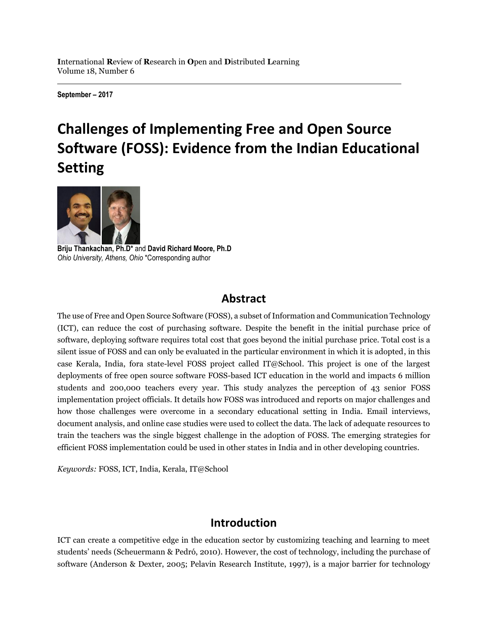**I**nternational **R**eview of **R**esearch in **O**pen and **D**istributed **L**earning Volume 18, Number 6

**September – 2017**

# **Challenges of Implementing Free and Open Source Software (FOSS): Evidence from the Indian Educational Setting**



**Briju Thankachan, Ph.D\*** and **David Richard Moore, Ph.D** *Ohio University, Athens, Ohio* \*Corresponding author

### **Abstract**

The use of Free and Open Source Software (FOSS), a subset of Information and Communication Technology (ICT), can reduce the cost of purchasing software. Despite the benefit in the initial purchase price of software, deploying software requires total cost that goes beyond the initial purchase price. Total cost is a silent issue of FOSS and can only be evaluated in the particular environment in which it is adopted, in this case Kerala, India, fora state-level FOSS project called IT@School. This project is one of the largest deployments of free open source software FOSS-based ICT education in the world and impacts 6 million students and 200,000 teachers every year. This study analyzes the perception of 43 senior FOSS implementation project officials. It details how FOSS was introduced and reports on major challenges and how those challenges were overcome in a secondary educational setting in India. Email interviews, document analysis, and online case studies were used to collect the data. The lack of adequate resources to train the teachers was the single biggest challenge in the adoption of FOSS. The emerging strategies for efficient FOSS implementation could be used in other states in India and in other developing countries.

*Keywords:* FOSS, ICT, India, Kerala, IT@School

### **Introduction**

ICT can create a competitive edge in the education sector by customizing teaching and learning to meet students' needs (Scheuermann & Pedró, 2010). However, the cost of technology, including the purchase of software (Anderson & Dexter, 2005; Pelavin Research Institute, 1997), is a major barrier for technology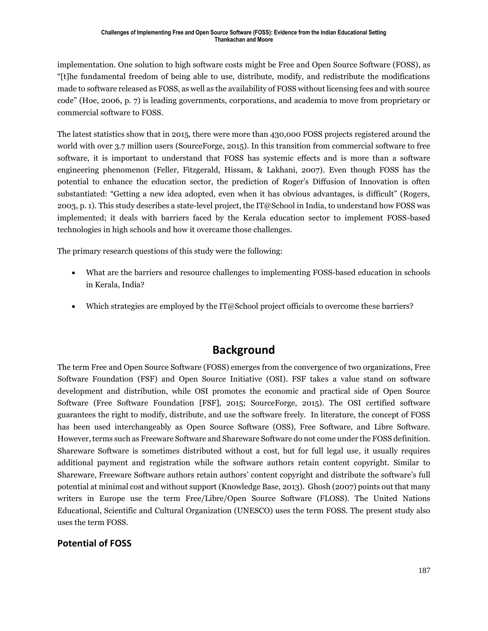#### **Challenges of Implementing Free and Open Source Software (FOSS): Evidence from the Indian Educational Setting Thankachan and Moore**

implementation. One solution to high software costs might be Free and Open Source Software (FOSS), as "[t]he fundamental freedom of being able to use, distribute, modify, and redistribute the modifications made to software released as FOSS, as well as the availability of FOSS without licensing fees and with source code" (Hoe, 2006, p. 7) is leading governments, corporations, and academia to move from proprietary or commercial software to FOSS.

The latest statistics show that in 2015, there were more than 430,000 FOSS projects registered around the world with over 3.7 million users (SourceForge, 2015). In this transition from commercial software to free software, it is important to understand that FOSS has systemic effects and is more than a software engineering phenomenon (Feller, Fitzgerald, Hissam, & Lakhani, 2007). Even though FOSS has the potential to enhance the education sector, the prediction of Roger's Diffusion of Innovation is often substantiated: "Getting a new idea adopted, even when it has obvious advantages, is difficult" (Rogers, 2003, p. 1). This study describes a state-level project, the IT@School in India, to understand how FOSS was implemented; it deals with barriers faced by the Kerala education sector to implement FOSS-based technologies in high schools and how it overcame those challenges.

The primary research questions of this study were the following:

- What are the barriers and resource challenges to implementing FOSS-based education in schools in Kerala, India?
- Which strategies are employed by the IT@School project officials to overcome these barriers?

### **Background**

The term Free and Open Source Software (FOSS) emerges from the convergence of two organizations, Free Software Foundation (FSF) and Open Source Initiative (OSI). FSF takes a value stand on software development and distribution, while OSI promotes the economic and practical side of Open Source Software (Free Software Foundation [FSF], 2015; SourceForge, 2015). The OSI certified software guarantees the right to modify, distribute, and use the software freely. In literature, the concept of FOSS has been used interchangeably as Open Source Software (OSS), Free Software, and Libre Software. However, terms such as Freeware Software and Shareware Software do not come under the FOSS definition. Shareware Software is sometimes distributed without a cost, but for full legal use, it usually requires additional payment and registration while the software authors retain content copyright. Similar to Shareware, Freeware Software authors retain authors' content copyright and distribute the software's full potential at minimal cost and without support (Knowledge Base, 2013). Ghosh (2007) points out that many writers in Europe use the term Free/Libre/Open Source Software (FLOSS). The United Nations Educational, Scientific and Cultural Organization (UNESCO) uses the term FOSS. The present study also uses the term FOSS.

#### **Potential of FOSS**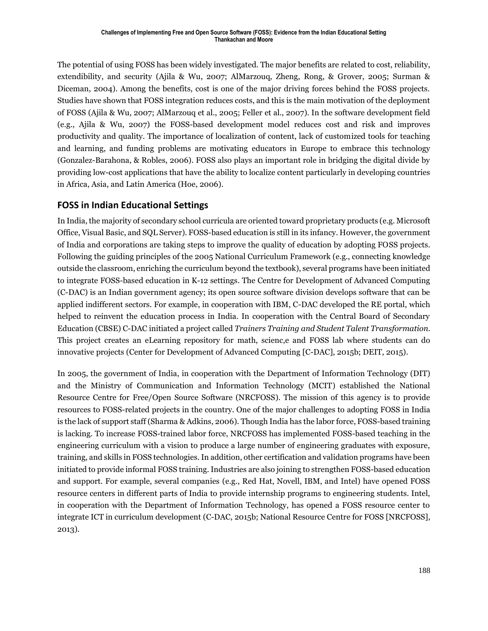The potential of using FOSS has been widely investigated. The major benefits are related to cost, reliability, extendibility, and security (Ajila & Wu, 2007; AlMarzouq, Zheng, Rong, & Grover, 2005; Surman & Diceman, 2004). Among the benefits, cost is one of the major driving forces behind the FOSS projects. Studies have shown that FOSS integration reduces costs, and this is the main motivation of the deployment of FOSS (Ajila & Wu, 2007; AlMarzouq et al., 2005; Feller et al., 2007). In the software development field (e.g., Ajila & Wu, 2007) the FOSS-based development model reduces cost and risk and improves productivity and quality. The importance of localization of content, lack of customized tools for teaching and learning, and funding problems are motivating educators in Europe to embrace this technology (Gonzalez-Barahona, & Robles, 2006). FOSS also plays an important role in bridging the digital divide by providing low-cost applications that have the ability to localize content particularly in developing countries in Africa, Asia, and Latin America (Hoe, 2006).

### **FOSS in Indian Educational Settings**

In India, the majority of secondary school curricula are oriented toward proprietary products (e.g. Microsoft Office, Visual Basic, and SQL Server). FOSS-based education is still in its infancy. However, the government of India and corporations are taking steps to improve the quality of education by adopting FOSS projects. Following the guiding principles of the 2005 National Curriculum Framework (e.g., connecting knowledge outside the classroom, enriching the curriculum beyond the textbook), several programs have been initiated to integrate FOSS-based education in K-12 settings. The Centre for Development of Advanced Computing (C-DAC) is an Indian government agency; its open source software division develops software that can be applied indifferent sectors. For example, in cooperation with IBM, C-DAC developed the RE portal, which helped to reinvent the education process in India. In cooperation with the Central Board of Secondary Education (CBSE) C-DAC initiated a project called *Trainers Training and Student Talent Transformation*. This project creates an eLearning repository for math, scienc,e and FOSS lab where students can do innovative projects (Center for Development of Advanced Computing [C-DAC], 2015b; DEIT, 2015).

In 2005, the government of India, in cooperation with the Department of Information Technology (DIT) and the Ministry of Communication and Information Technology (MCIT) established the National Resource Centre for Free/Open Source Software (NRCFOSS). The mission of this agency is to provide resources to FOSS-related projects in the country. One of the major challenges to adopting FOSS in India is the lack of support staff (Sharma & Adkins, 2006). Though India has the labor force, FOSS-based training is lacking. To increase FOSS-trained labor force, NRCFOSS has implemented FOSS-based teaching in the engineering curriculum with a vision to produce a large number of engineering graduates with exposure, training, and skills in FOSS technologies. In addition, other certification and validation programs have been initiated to provide informal FOSS training. Industries are also joining to strengthen FOSS-based education and support. For example, several companies (e.g., Red Hat, Novell, IBM, and Intel) have opened FOSS resource centers in different parts of India to provide internship programs to engineering students. Intel, in cooperation with the Department of Information Technology, has opened a FOSS resource center to integrate ICT in curriculum development (C-DAC, 2015b; National Resource Centre for FOSS [NRCFOSS], 2013).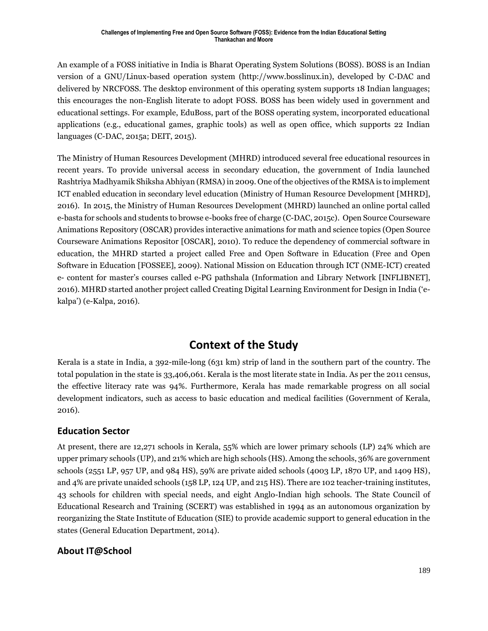An example of a FOSS initiative in India is Bharat Operating System Solutions (BOSS). BOSS is an Indian version of a GNU/Linux-based operation system (http://www.bosslinux.in), developed by C-DAC and delivered by NRCFOSS. The desktop environment of this operating system supports 18 Indian languages; this encourages the non-English literate to adopt FOSS. BOSS has been widely used in government and educational settings. For example, EduBoss, part of the BOSS operating system, incorporated educational applications (e.g., educational games, graphic tools) as well as open office, which supports 22 Indian languages (C-DAC, 2015a; DEIT, 2015).

The Ministry of Human Resources Development (MHRD) introduced several free educational resources in recent years. To provide universal access in secondary education, the government of India launched Rashtriya Madhyamik Shiksha Abhiyan (RMSA) in 2009. One of the objectives of the RMSA is to implement ICT enabled education in secondary level education (Ministry of Human Resource Development [MHRD], 2016). In 2015, the Ministry of Human Resources Development (MHRD) launched an online portal called e-basta for schools and students to browse e-books free of charge (C-DAC, 2015c). Open Source Courseware Animations Repository (OSCAR) provides interactive animations for math and science topics (Open Source Courseware Animations Repositor [OSCAR], 2010). To reduce the dependency of commercial software in education, the MHRD started a project called Free and Open Software in Education (Free and Open Software in Education [FOSSEE], 2009). National Mission on Education through ICT (NME-ICT) created e- content for master's courses called e-PG pathshala (Information and Library Network [INFLIBNET], 2016). MHRD started another project called Creating Digital Learning Environment for Design in India ('ekalpa') (e-Kalpa, 2016).

### **Context of the Study**

Kerala is a state in India, a 392-mile-long (631 km) strip of land in the southern part of the country. The total population in the state is 33,406,061. Kerala is the most literate state in India. As per the 2011 census, the effective literacy rate was 94%. Furthermore, Kerala has made remarkable progress on all social development indicators, such as access to basic education and medical facilities (Government of Kerala, 2016).

#### **Education Sector**

At present, there are 12,271 schools in Kerala, 55% which are lower primary schools (LP) 24% which are upper primary schools (UP), and 21% which are high schools (HS). Among the schools, 36% are government schools (2551 LP, 957 UP, and 984 HS), 59% are private aided schools (4003 LP, 1870 UP, and 1409 HS), and 4% are private unaided schools (158 LP, 124 UP, and 215 HS). There are 102 teacher-training institutes, 43 schools for children with special needs, and eight Anglo-Indian high schools. The State Council of Educational Research and Training (SCERT) was established in 1994 as an autonomous organization by reorganizing the State Institute of Education (SIE) to provide academic support to general education in the states (General Education Department, 2014).

### **About IT@School**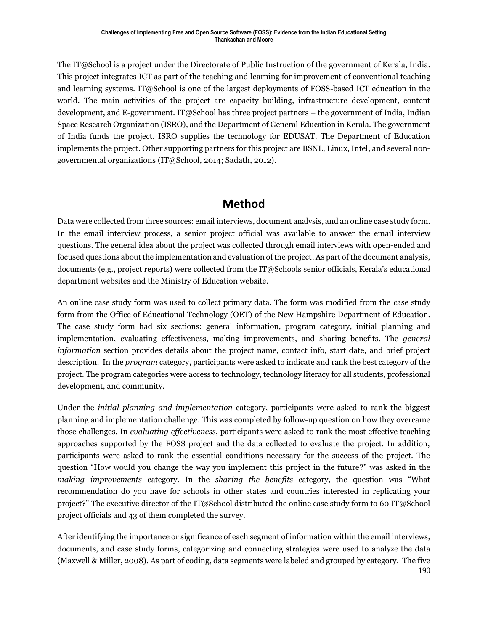The IT@School is a project under the Directorate of Public Instruction of the government of Kerala, India. This project integrates ICT as part of the teaching and learning for improvement of conventional teaching and learning systems. IT@School is one of the largest deployments of FOSS-based ICT education in the world. The main activities of the project are capacity building, infrastructure development, content development, and E-government. IT@School has three project partners – the government of India, Indian Space Research Organization (ISRO), and the Department of General Education in Kerala. The government of India funds the project. ISRO supplies the technology for EDUSAT. The Department of Education implements the project. Other supporting partners for this project are BSNL, Linux, Intel, and several nongovernmental organizations (IT@School, 2014; Sadath, 2012).

### **Method**

Data were collected from three sources: email interviews, document analysis, and an online case study form. In the email interview process, a senior project official was available to answer the email interview questions. The general idea about the project was collected through email interviews with open-ended and focused questions about the implementation and evaluation of the project. As part of the document analysis, documents (e.g., project reports) were collected from the IT@Schools senior officials, Kerala's educational department websites and the Ministry of Education website.

An online case study form was used to collect primary data. The form was modified from the case study form from the Office of Educational Technology (OET) of the New Hampshire Department of Education. The case study form had six sections: general information, program category, initial planning and implementation, evaluating effectiveness, making improvements, and sharing benefits. The *general information* section provides details about the project name, contact info, start date, and brief project description. In the *program* category, participants were asked to indicate and rank the best category of the project. The program categories were access to technology, technology literacy for all students, professional development, and community.

Under the *initial planning and implementation* category, participants were asked to rank the biggest planning and implementation challenge. This was completed by follow-up question on how they overcame those challenges. In *evaluating effectiveness*, participants were asked to rank the most effective teaching approaches supported by the FOSS project and the data collected to evaluate the project. In addition, participants were asked to rank the essential conditions necessary for the success of the project. The question "How would you change the way you implement this project in the future?" was asked in the *making improvements* category. In the *sharing the benefits* category, the question was "What recommendation do you have for schools in other states and countries interested in replicating your project?" The executive director of the IT@School distributed the online case study form to 60 IT@School project officials and 43 of them completed the survey.

After identifying the importance or significance of each segment of information within the email interviews, documents, and case study forms, categorizing and connecting strategies were used to analyze the data (Maxwell & Miller, 2008). As part of coding, data segments were labeled and grouped by category. The five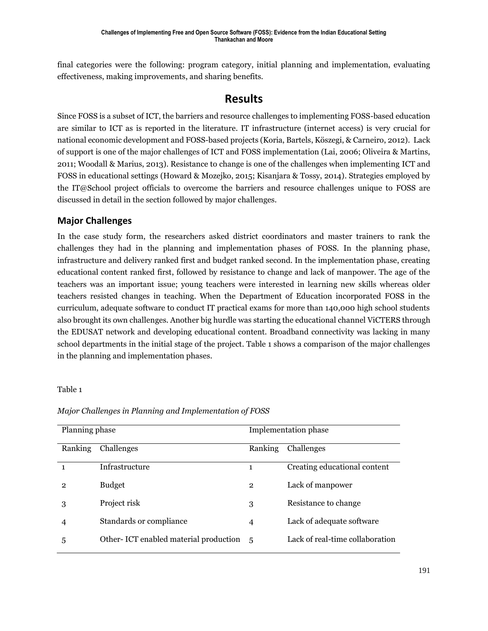final categories were the following: program category, initial planning and implementation, evaluating effectiveness, making improvements, and sharing benefits.

### **Results**

Since FOSS is a subset of ICT, the barriers and resource challenges to implementing FOSS-based education are similar to ICT as is reported in the literature. IT infrastructure (internet access) is very crucial for national economic development and FOSS-based projects (Koria, Bartels, Köszegi, & Carneiro, 2012). Lack of support is one of the major challenges of ICT and FOSS implementation (Lai, 2006; Oliveira & Martins, 2011; Woodall & Marius, 2013). Resistance to change is one of the challenges when implementing ICT and FOSS in educational settings (Howard & Mozejko, 2015; Kisanjara & Tossy, 2014). Strategies employed by the IT@School project officials to overcome the barriers and resource challenges unique to FOSS are discussed in detail in the section followed by major challenges.

### **Major Challenges**

In the case study form, the researchers asked district coordinators and master trainers to rank the challenges they had in the planning and implementation phases of FOSS. In the planning phase, infrastructure and delivery ranked first and budget ranked second. In the implementation phase, creating educational content ranked first, followed by resistance to change and lack of manpower. The age of the teachers was an important issue; young teachers were interested in learning new skills whereas older teachers resisted changes in teaching. When the Department of Education incorporated FOSS in the curriculum, adequate software to conduct IT practical exams for more than 140,000 high school students also brought its own challenges. Another big hurdle was starting the educational channel ViCTERS through the EDUSAT network and developing educational content. Broadband connectivity was lacking in many school departments in the initial stage of the project. Table 1 shows a comparison of the major challenges in the planning and implementation phases.

Table 1

| Planning phase |                                       | Implementation phase |                                 |
|----------------|---------------------------------------|----------------------|---------------------------------|
| Ranking        | Challenges                            | Ranking              | Challenges                      |
|                | Infrastructure                        |                      | Creating educational content    |
| 2              | <b>Budget</b>                         | $\overline{2}$       | Lack of manpower                |
| 3              | Project risk                          | 3                    | Resistance to change            |
|                | Standards or compliance               | 4                    | Lack of adequate software       |
| 5              | Other-ICT enabled material production | - 5                  | Lack of real-time collaboration |

*Major Challenges in Planning and Implementation of FOSS*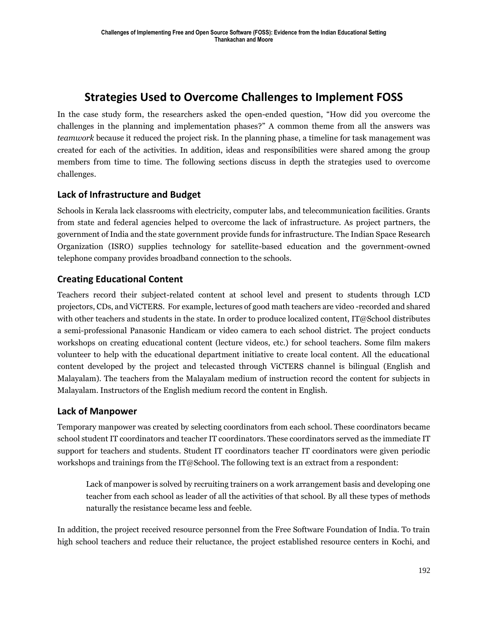## **Strategies Used to Overcome Challenges to Implement FOSS**

In the case study form, the researchers asked the open-ended question, "How did you overcome the challenges in the planning and implementation phases?" A common theme from all the answers was *teamwork* because it reduced the project risk. In the planning phase, a timeline for task management was created for each of the activities. In addition, ideas and responsibilities were shared among the group members from time to time. The following sections discuss in depth the strategies used to overcome challenges.

### **Lack of Infrastructure and Budget**

Schools in Kerala lack classrooms with electricity, computer labs, and telecommunication facilities. Grants from state and federal agencies helped to overcome the lack of infrastructure. As project partners, the government of India and the state government provide funds for infrastructure. The Indian Space Research Organization (ISRO) supplies technology for satellite-based education and the government-owned telephone company provides broadband connection to the schools.

### **Creating Educational Content**

Teachers record their subject-related content at school level and present to students through LCD projectors, CDs, and ViCTERS. For example, lectures of good math teachers are video -recorded and shared with other teachers and students in the state. In order to produce localized content, IT@School distributes a semi-professional Panasonic Handicam or video camera to each school district. The project conducts workshops on creating educational content (lecture videos, etc.) for school teachers. Some film makers volunteer to help with the educational department initiative to create local content. All the educational content developed by the project and telecasted through ViCTERS channel is bilingual (English and Malayalam). The teachers from the Malayalam medium of instruction record the content for subjects in Malayalam. Instructors of the English medium record the content in English.

#### **Lack of Manpower**

Temporary manpower was created by selecting coordinators from each school. These coordinators became school student IT coordinators and teacher IT coordinators. These coordinators served as the immediate IT support for teachers and students. Student IT coordinators teacher IT coordinators were given periodic workshops and trainings from the IT@School. The following text is an extract from a respondent:

Lack of manpower is solved by recruiting trainers on a work arrangement basis and developing one teacher from each school as leader of all the activities of that school. By all these types of methods naturally the resistance became less and feeble.

In addition, the project received resource personnel from the Free Software Foundation of India. To train high school teachers and reduce their reluctance, the project established resource centers in Kochi, and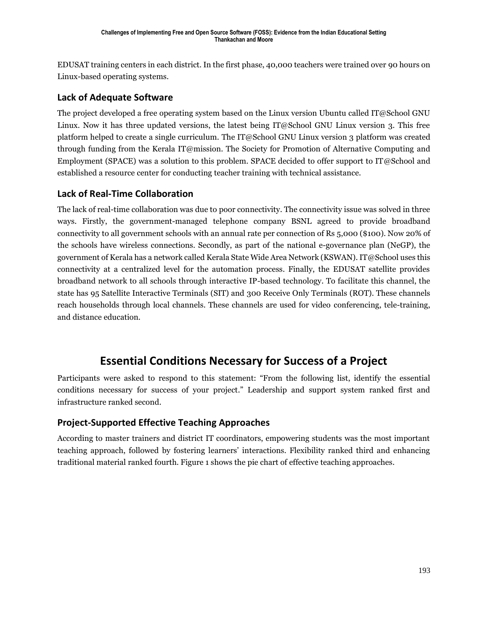EDUSAT training centers in each district. In the first phase, 40,000 teachers were trained over 90 hours on Linux-based operating systems.

### **Lack of Adequate Software**

The project developed a free operating system based on the Linux version Ubuntu called IT@School GNU Linux. Now it has three updated versions, the latest being IT@School GNU Linux version 3. This free platform helped to create a single curriculum. The IT@School GNU Linux version 3 platform was created through funding from the Kerala IT@mission. The Society for Promotion of Alternative Computing and Employment (SPACE) was a solution to this problem. SPACE decided to offer support to IT@School and established a resource center for conducting teacher training with technical assistance.

### **Lack of Real-Time Collaboration**

The lack of real-time collaboration was due to poor connectivity. The connectivity issue was solved in three ways. Firstly, the government-managed telephone company BSNL agreed to provide broadband connectivity to all government schools with an annual rate per connection of Rs 5,000 (\$100). Now 20% of the schools have wireless connections. Secondly, as part of the national e-governance plan (NeGP), the government of Kerala has a network called Kerala State Wide Area Network (KSWAN). IT@School uses this connectivity at a centralized level for the automation process. Finally, the EDUSAT satellite provides broadband network to all schools through interactive IP-based technology. To facilitate this channel, the state has 95 Satellite Interactive Terminals (SIT) and 300 Receive Only Terminals (ROT). These channels reach households through local channels. These channels are used for video conferencing, tele-training, and distance education.

### **Essential Conditions Necessary for Success of a Project**

Participants were asked to respond to this statement: "From the following list, identify the essential conditions necessary for success of your project." Leadership and support system ranked first and infrastructure ranked second.

#### **Project-Supported Effective Teaching Approaches**

According to master trainers and district IT coordinators, empowering students was the most important teaching approach, followed by fostering learners' interactions. Flexibility ranked third and enhancing traditional material ranked fourth. Figure 1 shows the pie chart of effective teaching approaches.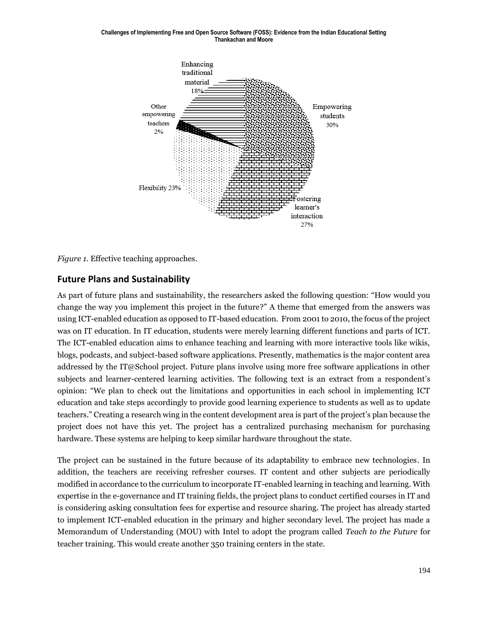**Challenges of Implementing Free and Open Source Software (FOSS): Evidence from the Indian Educational Setting Thankachan and Moore**



*Figure 1.* Effective teaching approaches.

#### **Future Plans and Sustainability**

As part of future plans and sustainability, the researchers asked the following question: "How would you change the way you implement this project in the future?" A theme that emerged from the answers was using ICT-enabled education as opposed to IT-based education. From 2001 to 2010, the focus of the project was on IT education. In IT education, students were merely learning different functions and parts of ICT. The ICT-enabled education aims to enhance teaching and learning with more interactive tools like wikis, blogs, podcasts, and subject-based software applications. Presently, mathematics is the major content area addressed by the IT@School project. Future plans involve using more free software applications in other subjects and learner-centered learning activities. The following text is an extract from a respondent's opinion: "We plan to check out the limitations and opportunities in each school in implementing ICT education and take steps accordingly to provide good learning experience to students as well as to update teachers." Creating a research wing in the content development area is part of the project's plan because the project does not have this yet. The project has a centralized purchasing mechanism for purchasing hardware. These systems are helping to keep similar hardware throughout the state.

The project can be sustained in the future because of its adaptability to embrace new technologies. In addition, the teachers are receiving refresher courses. IT content and other subjects are periodically modified in accordance to the curriculum to incorporate IT-enabled learning in teaching and learning. With expertise in the e-governance and IT training fields, the project plans to conduct certified courses in IT and is considering asking consultation fees for expertise and resource sharing. The project has already started to implement ICT-enabled education in the primary and higher secondary level. The project has made a Memorandum of Understanding (MOU) with Intel to adopt the program called *Teach to the Future* for teacher training. This would create another 350 training centers in the state.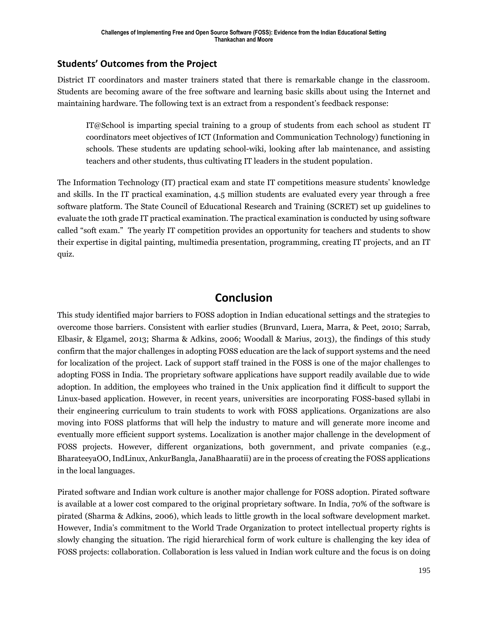#### **Students' Outcomes from the Project**

District IT coordinators and master trainers stated that there is remarkable change in the classroom. Students are becoming aware of the free software and learning basic skills about using the Internet and maintaining hardware. The following text is an extract from a respondent's feedback response:

IT@School is imparting special training to a group of students from each school as student IT coordinators meet objectives of ICT (Information and Communication Technology) functioning in schools. These students are updating school-wiki, looking after lab maintenance, and assisting teachers and other students, thus cultivating IT leaders in the student population.

The Information Technology (IT) practical exam and state IT competitions measure students' knowledge and skills. In the IT practical examination, 4.5 million students are evaluated every year through a free software platform. The State Council of Educational Research and Training (SCRET) set up guidelines to evaluate the 10th grade IT practical examination. The practical examination is conducted by using software called "soft exam." The yearly IT competition provides an opportunity for teachers and students to show their expertise in digital painting, multimedia presentation, programming, creating IT projects, and an IT quiz.

### **Conclusion**

This study identified major barriers to FOSS adoption in Indian educational settings and the strategies to overcome those barriers. Consistent with earlier studies (Brunvard, Luera, Marra, & Peet, 2010; Sarrab, Elbasir, & Elgamel, 2013; Sharma & Adkins, 2006; Woodall & Marius, 2013), the findings of this study confirm that the major challenges in adopting FOSS education are the lack of support systems and the need for localization of the project. Lack of support staff trained in the FOSS is one of the major challenges to adopting FOSS in India. The proprietary software applications have support readily available due to wide adoption. In addition, the employees who trained in the Unix application find it difficult to support the Linux-based application. However, in recent years, universities are incorporating FOSS-based syllabi in their engineering curriculum to train students to work with FOSS applications. Organizations are also moving into FOSS platforms that will help the industry to mature and will generate more income and eventually more efficient support systems. Localization is another major challenge in the development of FOSS projects. However, different organizations, both government, and private companies (e.g., BharateeyaOO, IndLinux, AnkurBangla, JanaBhaaratii) are in the process of creating the FOSS applications in the local languages.

Pirated software and Indian work culture is another major challenge for FOSS adoption. Pirated software is available at a lower cost compared to the original proprietary software. In India, 70% of the software is pirated (Sharma & Adkins, 2006), which leads to little growth in the local software development market. However, India's commitment to the World Trade Organization to protect intellectual property rights is slowly changing the situation. The rigid hierarchical form of work culture is challenging the key idea of FOSS projects: collaboration. Collaboration is less valued in Indian work culture and the focus is on doing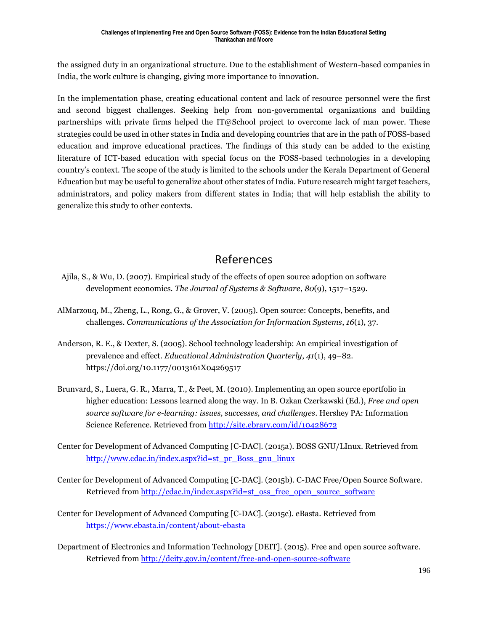the assigned duty in an organizational structure. Due to the establishment of Western-based companies in India, the work culture is changing, giving more importance to innovation.

In the implementation phase, creating educational content and lack of resource personnel were the first and second biggest challenges. Seeking help from non-governmental organizations and building partnerships with private firms helped the IT@School project to overcome lack of man power. These strategies could be used in other states in India and developing countries that are in the path of FOSS-based education and improve educational practices. The findings of this study can be added to the existing literature of ICT-based education with special focus on the FOSS-based technologies in a developing country's context. The scope of the study is limited to the schools under the Kerala Department of General Education but may be useful to generalize about other states of India. Future research might target teachers, administrators, and policy makers from different states in India; that will help establish the ability to generalize this study to other contexts.

### References

- Ajila, S., & Wu, D. (2007). Empirical study of the effects of open source adoption on software development economics. *The Journal of Systems & Software*, *80*(9), 1517–1529.
- AlMarzouq, M., Zheng, L., Rong, G., & Grover, V. (2005). Open source: Concepts, benefits, and challenges. *Communications of the Association for Information Systems*, *16*(1), 37.
- Anderson, R. E., & Dexter, S. (2005). School technology leadership: An empirical investigation of prevalence and effect. *Educational Administration Quarterly*, *41*(1), 49–82. https://doi.org/10.1177/0013161X04269517
- Brunvard, S., Luera, G. R., Marra, T., & Peet, M. (2010). Implementing an open source eportfolio in higher education: Lessons learned along the way. In B. Ozkan Czerkawski (Ed.), *Free and open source software for e-learning: issues, successes, and challenges*. Hershey PA: Information Science Reference. Retrieved from<http://site.ebrary.com/id/10428672>
- Center for Development of Advanced Computing [C-DAC]. (2015a). BOSS GNU/LInux. Retrieved from [http://www.cdac.in/index.aspx?id=st\\_pr\\_Boss\\_gnu\\_linux](http://www.cdac.in/index.aspx?id=st_pr_Boss_gnu_linux)
- Center for Development of Advanced Computing [C-DAC]. (2015b). C-DAC Free/Open Source Software. Retrieved from [http://cdac.in/index.aspx?id=st\\_oss\\_free\\_open\\_source\\_software](http://cdac.in/index.aspx?id=st_oss_free_open_source_software)
- Center for Development of Advanced Computing [C-DAC]. (2015c). eBasta. Retrieved from <https://www.ebasta.in/content/about-ebasta>
- Department of Electronics and Information Technology [DEIT]. (2015). Free and open source software. Retrieved from<http://deity.gov.in/content/free-and-open-source-software>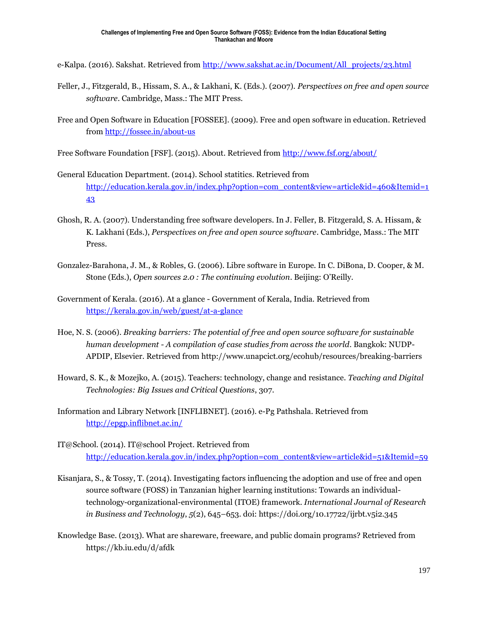- e-Kalpa. (2016). Sakshat. Retrieved from [http://www.sakshat.ac.in/Document/All\\_projects/23.html](http://www.sakshat.ac.in/Document/All_projects/23.html)
- Feller, J., Fitzgerald, B., Hissam, S. A., & Lakhani, K. (Eds.). (2007). *Perspectives on free and open source software*. Cambridge, Mass.: The MIT Press.
- Free and Open Software in Education [FOSSEE]. (2009). Free and open software in education. Retrieved from<http://fossee.in/about-us>
- Free Software Foundation [FSF]. (2015). About. Retrieved fro[m http://www.fsf.org/about/](http://www.fsf.org/about/)
- General Education Department. (2014). School statitics. Retrieved from [http://education.kerala.gov.in/index.php?option=com\\_content&view=article&id=460&Itemid=1](http://education.kerala.gov.in/index.php?option=com_content&view=article&id=460&Itemid=143) [43](http://education.kerala.gov.in/index.php?option=com_content&view=article&id=460&Itemid=143)
- Ghosh, R. A. (2007). Understanding free software developers. In J. Feller, B. Fitzgerald, S. A. Hissam, & K. Lakhani (Eds.), *Perspectives on free and open source software*. Cambridge, Mass.: The MIT Press.
- Gonzalez-Barahona, J. M., & Robles, G. (2006). Libre software in Europe. In C. DiBona, D. Cooper, & M. Stone (Eds.), *Open sources 2.0 : The continuing evolution*. Beijing: O'Reilly.
- Government of Kerala. (2016). At a glance Government of Kerala, India. Retrieved from <https://kerala.gov.in/web/guest/at-a-glance>
- Hoe, N. S. (2006). *Breaking barriers: The potential of free and open source software for sustainable human development - A compilation of case studies from across the world*. Bangkok: NUDP-APDIP, Elsevier. Retrieved from http://www.unapcict.org/ecohub/resources/breaking-barriers
- Howard, S. K., & Mozejko, A. (2015). Teachers: technology, change and resistance. *Teaching and Digital Technologies: Big Issues and Critical Questions*, 307.
- Information and Library Network [INFLIBNET]. (2016). e-Pg Pathshala. Retrieved from <http://epgp.inflibnet.ac.in/>
- IT@School. (2014). IT@school Project. Retrieved from [http://education.kerala.gov.in/index.php?option=com\\_content&view=article&id=51&Itemid=59](http://education.kerala.gov.in/index.php?option=com_content&view=article&id=51&Itemid=59)
- Kisanjara, S., & Tossy, T. (2014). Investigating factors influencing the adoption and use of free and open source software (FOSS) in Tanzanian higher learning institutions: Towards an individualtechnology-organizational-environmental (ITOE) framework. *International Journal of Research in Business and Technology*, *5*(2), 645–653. doi: https://doi.org/10.17722/ijrbt.v5i2.345
- Knowledge Base. (2013). What are shareware, freeware, and public domain programs? Retrieved from https://kb.iu.edu/d/afdk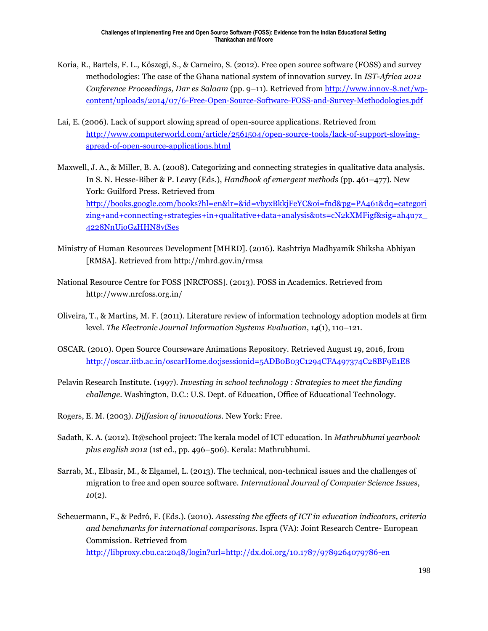- Koria, R., Bartels, F. L., Köszegi, S., & Carneiro, S. (2012). Free open source software (FOSS) and survey methodologies: The case of the Ghana national system of innovation survey. In *IST-Africa 2012 Conference Proceedings, Dar es Salaam* (pp. 9–11). Retrieved from [http://www.innov-8.net/wp](http://www.innov-8.net/wp-content/uploads/2014/07/6-Free-Open-Source-Software-FOSS-and-Survey-Methodologies.pdf)[content/uploads/2014/07/6-Free-Open-Source-Software-FOSS-and-Survey-Methodologies.pdf](http://www.innov-8.net/wp-content/uploads/2014/07/6-Free-Open-Source-Software-FOSS-and-Survey-Methodologies.pdf)
- Lai, E. (2006). Lack of support slowing spread of open-source applications. Retrieved from [http://www.computerworld.com/article/2561504/open-source-tools/lack-of-support-slowing](http://www.computerworld.com/article/2561504/open-source-tools/lack-of-support-slowing-spread-of-open-source-applications.html)[spread-of-open-source-applications.html](http://www.computerworld.com/article/2561504/open-source-tools/lack-of-support-slowing-spread-of-open-source-applications.html)
- Maxwell, J. A., & Miller, B. A. (2008). Categorizing and connecting strategies in qualitative data analysis. In S. N. Hesse-Biber & P. Leavy (Eds.), *Handbook of emergent methods* (pp. 461–477). New York: Guilford Press. Retrieved from [http://books.google.com/books?hl=en&lr=&id=vbyxBkkjFeYC&oi=fnd&pg=PA461&dq=categori](http://books.google.com/books?hl=en&lr=&id=vbyxBkkjFeYC&oi=fnd&pg=PA461&dq=categorizing+and+connecting+strategies+in+qualitative+data+analysis&ots=cN2kXMFigf&sig=ah4u7z_4228NnUioGzHHN8vfSes) [zing+and+connecting+strategies+in+qualitative+data+analysis&ots=cN2kXMFigf&sig=ah4u7z\\_](http://books.google.com/books?hl=en&lr=&id=vbyxBkkjFeYC&oi=fnd&pg=PA461&dq=categorizing+and+connecting+strategies+in+qualitative+data+analysis&ots=cN2kXMFigf&sig=ah4u7z_4228NnUioGzHHN8vfSes) [4228NnUioGzHHN8vfSes](http://books.google.com/books?hl=en&lr=&id=vbyxBkkjFeYC&oi=fnd&pg=PA461&dq=categorizing+and+connecting+strategies+in+qualitative+data+analysis&ots=cN2kXMFigf&sig=ah4u7z_4228NnUioGzHHN8vfSes)
- Ministry of Human Resources Development [MHRD]. (2016). Rashtriya Madhyamik Shiksha Abhiyan [RMSA]. Retrieved from http://mhrd.gov.in/rmsa
- National Resource Centre for FOSS [NRCFOSS]. (2013). FOSS in Academics. Retrieved from http://www.nrcfoss.org.in/
- Oliveira, T., & Martins, M. F. (2011). Literature review of information technology adoption models at firm level. *The Electronic Journal Information Systems Evaluation*, *14*(1), 110–121.
- OSCAR. (2010). Open Source Courseware Animations Repository. Retrieved August 19, 2016, from <http://oscar.iitb.ac.in/oscarHome.do;jsessionid=5ADB0B03C1294CFA497374C28BF9E1E8>
- Pelavin Research Institute. (1997). *Investing in school technology : Strategies to meet the funding challenge*. Washington, D.C.: U.S. Dept. of Education, Office of Educational Technology.
- Rogers, E. M. (2003). *Diffusion of innovations.* New York: Free.
- Sadath, K. A. (2012). It@school project: The kerala model of ICT education. In *Mathrubhumi yearbook plus english 2012* (1st ed., pp. 496–506). Kerala: Mathrubhumi.
- Sarrab, M., Elbasir, M., & Elgamel, L. (2013). The technical, non-technical issues and the challenges of migration to free and open source software. *International Journal of Computer Science Issues*, *10*(2).
- Scheuermann, F., & Pedró, F. (Eds.). (2010). *Assessing the effects of ICT in education indicators, criteria and benchmarks for international comparisons*. Ispra (VA): Joint Research Centre- European Commission. Retrieved from <http://libproxy.cbu.ca:2048/login?url=http://dx.doi.org/10.1787/9789264079786-en>